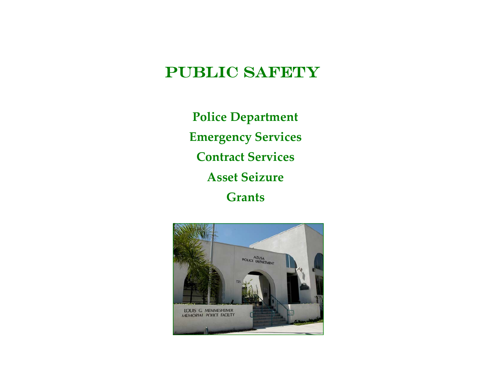# PUBLIC SAFETY

**Police Department Emergency Services Contract Services Asset Seizure Grants**

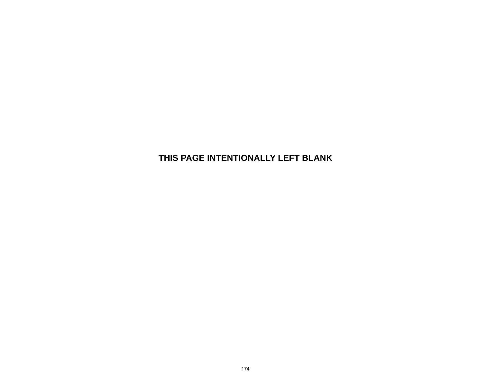# **THIS PAGE INTENTIONALLY LEFT BLANK**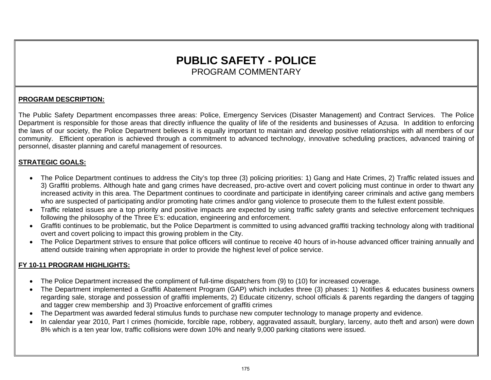# **PUBLIC SAFETY - POLICE**

PROGRAM COMMENTARY

### **PROGRAM DESCRIPTION:**

The Public Safety Department encompasses three areas: Police, Emergency Services (Disaster Management) and Contract Services. The Police Department is responsible for those areas that directly influence the quality of life of the residents and businesses of Azusa. In addition to enforcing the laws of our society, the Police Department believes it is equally important to maintain and develop positive relationships with all members of our community. Efficient operation is achieved through a commitment to advanced technology, innovative scheduling practices, advanced training of personnel, disaster planning and careful management of resources.

## **STRATEGIC GOALS:**

- The Police Department continues to address the City's top three (3) policing priorities: 1) Gang and Hate Crimes, 2) Traffic related issues and 3) Graffiti problems. Although hate and gang crimes have decreased, pro-active overt and covert policing must continue in order to thwart any increased activity in this area. The Department continues to coordinate and participate in identifying career criminals and active gang members who are suspected of participating and/or promoting hate crimes and/or gang violence to prosecute them to the fullest extent possible.
- Traffic related issues are a top priority and positive impacts are expected by using traffic safety grants and selective enforcement techniques following the philosophy of the Three E's: education, engineering and enforcement.
- Graffiti continues to be problematic, but the Police Department is committed to using advanced graffiti tracking technology along with traditional overt and covert policing to impact this growing problem in the City.
- The Police Department strives to ensure that police officers will continue to receive 40 hours of in-house advanced officer training annually and attend outside training when appropriate in order to provide the highest level of police service.

# **FY 10-11 PROGRAM HIGHLIGHTS:**

- The Police Department increased the compliment of full-time dispatchers from (9) to (10) for increased coverage.
- The Department implemented a Graffiti Abatement Program (GAP) which includes three (3) phases: 1) Notifies & educates business owners regarding sale, storage and possession of graffiti implements, 2) Educate citizenry, school officials & parents regarding the dangers of tagging and tagger crew membership and 3) Proactive enforcement of graffiti crimes
- The Department was awarded federal stimulus funds to purchase new computer technology to manage property and evidence.
- In calendar year 2010, Part I crimes (homicide, forcible rape, robbery, aggravated assault, burglary, larceny, auto theft and arson) were down 8% which is a ten year low, traffic collisions were down 10% and nearly 9,000 parking citations were issued.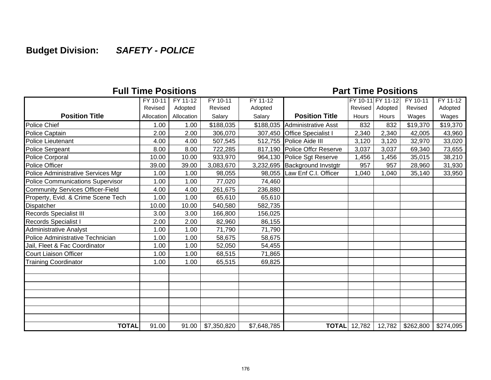# **Full Time Positions**

# **Part Time Positions**

|                                         | FY 10-11   | FY 11-12   | FY 10-11    | FY 11-12    |                               |                     | FY 10-11 FY 11-12 | FY 10-11  | FY 11-12  |
|-----------------------------------------|------------|------------|-------------|-------------|-------------------------------|---------------------|-------------------|-----------|-----------|
|                                         | Revised    | Adopted    | Revised     | Adopted     |                               | Revised             | Adopted           | Revised   | Adopted   |
| <b>Position Title</b>                   | Allocation | Allocation | Salary      | Salary      | <b>Position Title</b>         | Hours               | Hours             | Wages     | Wages     |
| <b>Police Chief</b>                     | 1.00       | 1.00       | \$188,035   | \$188,035   | <b>Administrative Asst</b>    | 832                 | 832               | \$19,370  | \$19,370  |
| <b>Police Captain</b>                   | 2.00       | 2.00       | 306,070     |             | 307,450 Office Specialist I   | 2,340               | 2,340             | 42,005    | 43,960    |
| Police Lieutenant                       | 4.00       | 4.00       | 507,545     |             | 512,755 Police Aide III       | 3,120               | 3,120             | 32,970    | 33,020    |
| <b>Police Sergeant</b>                  | 8.00       | 8.00       | 722,285     |             | 817,190 Police Offcr Reserve  | 3,037               | 3,037             | 69,340    | 73,655    |
| Police Corporal                         | 10.00      | 10.00      | 933,970     |             | 964,130 Police Sgt Reserve    | 1,456               | 1,456             | 35,015    | 38,210    |
| <b>Police Officer</b>                   | 39.00      | 39.00      | 3,083,670   |             | 3,232,695 Background Invstgtr | 957                 | 957               | 28,960    | 31,930    |
| Police Administrative Services Mgr      | 1.00       | 1.00       | 98,055      |             | 98,055 Law Enf C.I. Officer   | 1,040               | 1,040             | 35,140    | 33,950    |
| <b>Police Communications Supervisor</b> | 1.00       | 1.00       | 77,020      | 74,460      |                               |                     |                   |           |           |
| <b>Community Services Officer-Field</b> | 4.00       | 4.00       | 261,675     | 236,880     |                               |                     |                   |           |           |
| Property, Evid. & Crime Scene Tech      | 1.00       | 1.00       | 65,610      | 65,610      |                               |                     |                   |           |           |
| Dispatcher                              | 10.00      | 10.00      | 540,580     | 582,735     |                               |                     |                   |           |           |
| Records Specialist III                  | 3.00       | 3.00       | 166,800     | 156,025     |                               |                     |                   |           |           |
| Records Specialist I                    | 2.00       | 2.00       | 82,960      | 86,155      |                               |                     |                   |           |           |
| <b>Administrative Analyst</b>           | 1.00       | 1.00       | 71,790      | 71,790      |                               |                     |                   |           |           |
| Police Administrative Technician        | 1.00       | 1.00       | 58,675      | 58,675      |                               |                     |                   |           |           |
| Jail, Fleet & Fac Coordinator           | 1.00       | 1.00       | 52,050      | 54,455      |                               |                     |                   |           |           |
| <b>Court Liaison Officer</b>            | 1.00       | 1.00       | 68,515      | 71,865      |                               |                     |                   |           |           |
| <b>Training Coordinator</b>             | 1.00       | 1.00       | 65,515      | 69,825      |                               |                     |                   |           |           |
|                                         |            |            |             |             |                               |                     |                   |           |           |
|                                         |            |            |             |             |                               |                     |                   |           |           |
|                                         |            |            |             |             |                               |                     |                   |           |           |
|                                         |            |            |             |             |                               |                     |                   |           |           |
|                                         |            |            |             |             |                               |                     |                   |           |           |
|                                         |            |            |             |             |                               |                     |                   |           |           |
|                                         |            |            |             |             |                               |                     |                   |           |           |
| <b>TOTAL</b>                            | 91.00      | 91.00      | \$7,350,820 | \$7,648,785 |                               | <b>TOTAL</b> 12,782 | 12,782            | \$262,800 | \$274,095 |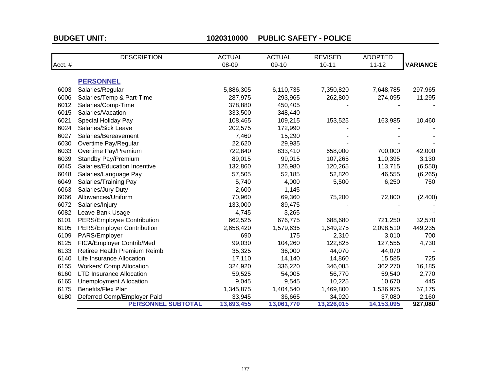#### **1020310000 PUBLIC SAFETY - POLICE**

|         | <b>DESCRIPTION</b>                | <b>ACTUAL</b> | <b>ACTUAL</b> | <b>REVISED</b> | <b>ADOPTED</b> |                 |
|---------|-----------------------------------|---------------|---------------|----------------|----------------|-----------------|
| Acct. # |                                   | 08-09         | 09-10         | $10 - 11$      | $11 - 12$      | <b>VARIANCE</b> |
|         | <b>PERSONNEL</b>                  |               |               |                |                |                 |
| 6003    | Salaries/Regular                  | 5,886,305     | 6,110,735     | 7,350,820      | 7,648,785      | 297,965         |
| 6006    | Salaries/Temp & Part-Time         | 287,975       | 293,965       | 262,800        | 274,095        | 11,295          |
| 6012    | Salaries/Comp-Time                | 378,880       | 450,405       |                |                |                 |
| 6015    | Salaries/Vacation                 | 333,500       | 348,440       |                |                |                 |
| 6021    | Special Holiday Pay               | 108,465       | 109,215       | 153,525        | 163,985        | 10,460          |
| 6024    | Salaries/Sick Leave               | 202,575       | 172,990       |                |                |                 |
| 6027    | Salaries/Bereavement              | 7,460         | 15,290        |                |                |                 |
| 6030    | Overtime Pay/Regular              | 22,620        | 29,935        |                |                |                 |
| 6033    | Overtime Pay/Premium              | 722,840       | 833,410       | 658,000        | 700,000        | 42,000          |
| 6039    | Standby Pay/Premium               | 89,015        | 99,015        | 107,265        | 110,395        | 3,130           |
| 6045    | Salaries/Education Incentive      | 132,860       | 126,980       | 120,265        | 113,715        | (6, 550)        |
| 6048    | Salaries/Language Pay             | 57,505        | 52,185        | 52,820         | 46,555         | (6, 265)        |
| 6049    | Salaries/Training Pay             | 5,740         | 4,000         | 5,500          | 6,250          | 750             |
| 6063    | Salaries/Jury Duty                | 2,600         | 1,145         |                |                |                 |
| 6066    | Allowances/Uniform                | 70,960        | 69,360        | 75,200         | 72,800         | (2,400)         |
| 6072    | Salaries/Injury                   | 133,000       | 89,475        |                |                |                 |
| 6082    | Leave Bank Usage                  | 4,745         | 3,265         |                |                |                 |
| 6101    | PERS/Employee Contribution        | 662,525       | 676,775       | 688,680        | 721,250        | 32,570          |
| 6105    | <b>PERS/Employer Contribution</b> | 2,658,420     | 1,579,635     | 1,649,275      | 2,098,510      | 449,235         |
| 6109    | PARS/Employer                     | 690           | 175           | 2,310          | 3,010          | 700             |
| 6125    | FICA/Employer Contrib/Med         | 99,030        | 104,260       | 122,825        | 127,555        | 4,730           |
| 6133    | Retiree Health Premium Reimb      | 35,325        | 36,000        | 44,070         | 44,070         |                 |
| 6140    | Life Insurance Allocation         | 17,110        | 14,140        | 14,860         | 15,585         | 725             |
| 6155    | <b>Workers' Comp Allocation</b>   | 324,920       | 336,220       | 346,085        | 362,270        | 16,185          |
| 6160    | <b>LTD Insurance Allocation</b>   | 59,525        | 54,005        | 56,770         | 59,540         | 2,770           |
| 6165    | <b>Unemployment Allocation</b>    | 9,045         | 9,545         | 10,225         | 10,670         | 445             |
| 6175    | <b>Benefits/Flex Plan</b>         | 1,345,875     | 1,404,540     | 1,469,800      | 1,536,975      | 67,175          |
| 6180    | Deferred Comp/Employer Paid       | 33,945        | 36,665        | 34,920         | 37,080         | 2,160           |
|         | <b>PERSONNEL SUBTOTAL</b>         | 13,693,455    | 13,061,770    | 13,226,015     | 14,153,095     | 927,080         |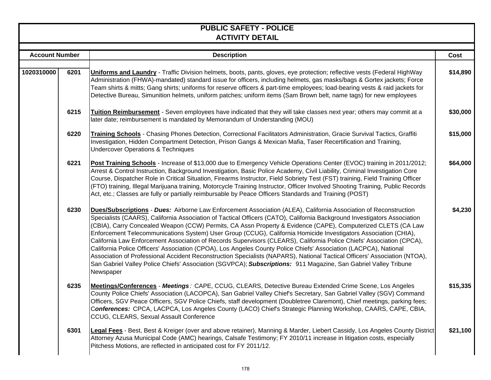# **PUBLIC SAFETY - POLICE ACTIVITY DETAIL**

|                       |      | <b>Description</b>                                                                                                                                                                                                                                                                                                                                                                                                                                                                                                                                                                                                                                                                                                                                                                                                                                                                                                                                                                        | Cost     |
|-----------------------|------|-------------------------------------------------------------------------------------------------------------------------------------------------------------------------------------------------------------------------------------------------------------------------------------------------------------------------------------------------------------------------------------------------------------------------------------------------------------------------------------------------------------------------------------------------------------------------------------------------------------------------------------------------------------------------------------------------------------------------------------------------------------------------------------------------------------------------------------------------------------------------------------------------------------------------------------------------------------------------------------------|----------|
| <b>Account Number</b> |      |                                                                                                                                                                                                                                                                                                                                                                                                                                                                                                                                                                                                                                                                                                                                                                                                                                                                                                                                                                                           |          |
| 1020310000            | 6201 | Uniforms and Laundry - Traffic Division helmets, boots, pants, gloves, eye protection; reflective vests (Federal HighWay<br>Administration (FHWA)-mandated) standard issue for officers, including helmets, gas masks/bags & Gortex jackets; Force<br>Team shirts & mitts; Gang shirts; uniforms for reserve officers & part-time employees; load-bearing vests & raid jackets for<br>Detective Bureau, Simunition helmets, uniform patches; uniform items (Sam Brown belt, name tags) for new employees                                                                                                                                                                                                                                                                                                                                                                                                                                                                                  | \$14,890 |
|                       | 6215 | Tuition Reimbursement - Seven employees have indicated that they will take classes next year; others may commit at a<br>later date; reimbursement is mandated by Memorandum of Understanding (MOU)                                                                                                                                                                                                                                                                                                                                                                                                                                                                                                                                                                                                                                                                                                                                                                                        | \$30,000 |
|                       | 6220 | Training Schools - Chasing Phones Detection, Correctional Facilitators Administration, Gracie Survival Tactics, Graffiti<br>Investigation, Hidden Compartment Detection, Prison Gangs & Mexican Mafia, Taser Recertification and Training,<br><b>Undercover Operations &amp; Techniques</b>                                                                                                                                                                                                                                                                                                                                                                                                                                                                                                                                                                                                                                                                                               | \$15,000 |
|                       | 6221 | Post Training Schools - Increase of \$13,000 due to Emergency Vehicle Operations Center (EVOC) training in 2011/2012;<br>Arrest & Control Instruction, Background Investigation, Basic Police Academy, Civil Liability, Criminal Investigation Core<br>Course, Dispatcher Role in Critical Situation, Firearms Instructor, Field Sobriety Test (FST) training, Field Training Officer<br>(FTO) training, Illegal Marijuana training, Motorcycle Training Instructor, Officer Involved Shooting Training, Public Records<br>Act, etc.; Classes are fully or partially reimbursable by Peace Officers Standards and Training (POST)                                                                                                                                                                                                                                                                                                                                                         | \$64,000 |
|                       | 6230 | Dues/Subscriptions - Dues: Airborne Law Enforcement Association (ALEA), California Association of Reconstruction<br>Specialists (CAARS), California Association of Tactical Officers (CATO), California Background Investigators Association<br>(CBIA), Carry Concealed Weapon (CCW) Permits, CA Assn Property & Evidence (CAPE), Computerized CLETS (CA Law<br>Enforcement Telecommunications System) User Group (CCUG), California Homicide Investigators Association (CHIA),<br>California Law Enforcement Association of Records Supervisors (CLEARS), California Police Chiefs' Association (CPCA),<br>California Police Officers' Association (CPOA), Los Angeles County Police Chiefs' Association (LACPCA), National<br>Association of Professional Accident Reconstruction Specialists (NAPARS), National Tactical Officers' Association (NTOA),<br>San Gabriel Valley Police Chiefs' Association (SGVPCA); Subscriptions: 911 Magazine, San Gabriel Valley Tribune<br>Newspaper | \$4,230  |
|                       | 6235 | Meetings/Conferences - Meetings: CAPE, CCUG, CLEARS, Detective Bureau Extended Crime Scene, Los Angeles<br>County Police Chiefs' Association (LACOPCA), San Gabriel Valley Chief's Secretary, San Gabriel Valley (SGV) Command<br>Officers, SGV Peace Officers, SGV Police Chiefs, staff development (Doubletree Claremont), Chief meetings, parking fees;<br>Conferences: CPCA, LACPCA, Los Angeles County (LACO) Chief's Strategic Planning Workshop, CAARS, CAPE, CBIA,<br>CCUG, CLEARS, Sexual Assault Conference                                                                                                                                                                                                                                                                                                                                                                                                                                                                     | \$15,335 |
|                       | 6301 | Legal Fees - Best, Best & Kreiger (over and above retainer), Manning & Marder, Liebert Cassidy, Los Angeles County District<br>Attorney Azusa Municipal Code (AMC) hearings, Calsafe Testimony; FY 2010/11 increase in litigation costs, especially<br>Pitchess Motions, are reflected in anticipated cost for FY 2011/12.                                                                                                                                                                                                                                                                                                                                                                                                                                                                                                                                                                                                                                                                | \$21,100 |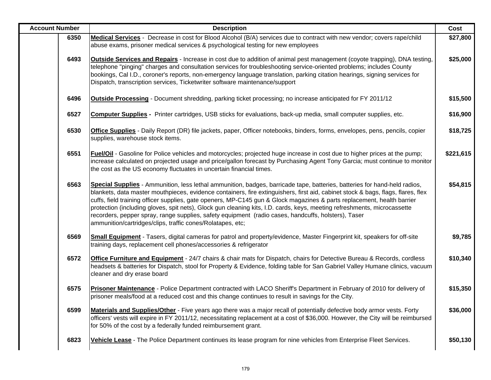| <b>Account Number</b> | <b>Description</b>                                                                                                                                                                                                                                                                                                                                                                                                                                                                                                                                                                                                                                                                        | Cost      |
|-----------------------|-------------------------------------------------------------------------------------------------------------------------------------------------------------------------------------------------------------------------------------------------------------------------------------------------------------------------------------------------------------------------------------------------------------------------------------------------------------------------------------------------------------------------------------------------------------------------------------------------------------------------------------------------------------------------------------------|-----------|
| 6350                  | Medical Services - Decrease in cost for Blood Alcohol (B/A) services due to contract with new vendor; covers rape/child<br>abuse exams, prisoner medical services & psychological testing for new employees                                                                                                                                                                                                                                                                                                                                                                                                                                                                               | \$27,800  |
| 6493                  | <b>Outside Services and Repairs</b> - Increase in cost due to addition of animal pest management (coyote trapping), DNA testing,<br>telephone "pinging" charges and consultation services for troubleshooting service-oriented problems; includes County<br>bookings, Cal I.D., coroner's reports, non-emergency language translation, parking citation hearings, signing services for<br>Dispatch, transcription services, Ticketwriter software maintenance/support                                                                                                                                                                                                                     | \$25,000  |
| 6496                  | Outside Processing - Document shredding, parking ticket processing; no increase anticipated for FY 2011/12                                                                                                                                                                                                                                                                                                                                                                                                                                                                                                                                                                                | \$15,500  |
| 6527                  | Computer Supplies - Printer cartridges, USB sticks for evaluations, back-up media, small computer supplies, etc.                                                                                                                                                                                                                                                                                                                                                                                                                                                                                                                                                                          | \$16,900  |
| 6530                  | Office Supplies - Daily Report (DR) file jackets, paper, Officer notebooks, binders, forms, envelopes, pens, pencils, copier<br>supplies, warehouse stock items.                                                                                                                                                                                                                                                                                                                                                                                                                                                                                                                          | \$18,725  |
| 6551                  | Fuel/Oil - Gasoline for Police vehicles and motorcycles; projected huge increase in cost due to higher prices at the pump;<br>increase calculated on projected usage and price/gallon forecast by Purchasing Agent Tony Garcia; must continue to monitor<br>the cost as the US economy fluctuates in uncertain financial times.                                                                                                                                                                                                                                                                                                                                                           | \$221,615 |
| 6563                  | Special Supplies - Ammunition, less lethal ammunition, badges, barricade tape, batteries, batteries for hand-held radios,<br>blankets, data master mouthpieces, evidence containers, fire extinguishers, first aid, cabinet stock & bags, flags, flares, flex<br>cuffs, field training officer supplies, gate openers, MP-C145 gun & Glock magazines & parts replacement, health barrier<br>protection (including gloves, spit nets), Glock gun cleaning kits, I.D. cards, keys, meeting refreshments, microcassette<br>recorders, pepper spray, range supplies, safety equipment (radio cases, handcuffs, holsters), Taser<br>ammunition/cartridges/clips, traffic cones/Rolatapes, etc; | \$54,815  |
| 6569                  | <b>Small Equipment</b> - Tasers, digital cameras for patrol and property/evidence, Master Fingerprint kit, speakers for off-site<br>training days, replacement cell phones/accessories & refrigerator                                                                                                                                                                                                                                                                                                                                                                                                                                                                                     | \$9,785   |
| 6572                  | <b>Office Furniture and Equipment</b> - 24/7 chairs & chair mats for Dispatch, chairs for Detective Bureau & Records, cordless<br>headsets & batteries for Dispatch, stool for Property & Evidence, folding table for San Gabriel Valley Humane clinics, vacuum<br>cleaner and dry erase board                                                                                                                                                                                                                                                                                                                                                                                            | \$10,340  |
| 6575                  | Prisoner Maintenance - Police Department contracted with LACO Sheriff's Department in February of 2010 for delivery of<br>prisoner meals/food at a reduced cost and this change continues to result in savings for the City.                                                                                                                                                                                                                                                                                                                                                                                                                                                              | \$15,350  |
| 6599                  | Materials and Supplies/Other - Five years ago there was a major recall of potentially defective body armor vests. Forty<br>officers' vests will expire in FY 2011/12, necessitating replacement at a cost of \$36,000. However, the City will be reimbursed<br>for 50% of the cost by a federally funded reimbursement grant.                                                                                                                                                                                                                                                                                                                                                             | \$36,000  |
| 6823                  | Vehicle Lease - The Police Department continues its lease program for nine vehicles from Enterprise Fleet Services.                                                                                                                                                                                                                                                                                                                                                                                                                                                                                                                                                                       | \$50,130  |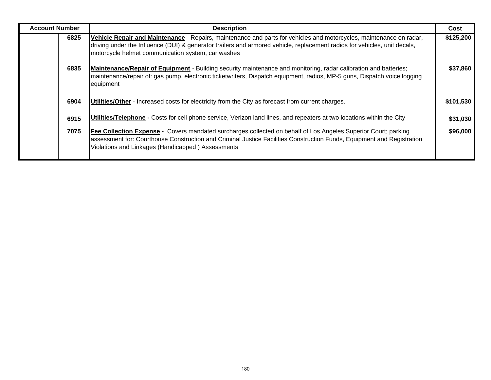| <b>Account Number</b> |      | <b>Description</b>                                                                                                                                                                                                                                                                                     | Cost      |
|-----------------------|------|--------------------------------------------------------------------------------------------------------------------------------------------------------------------------------------------------------------------------------------------------------------------------------------------------------|-----------|
|                       | 6825 | Vehicle Repair and Maintenance - Repairs, maintenance and parts for vehicles and motorcycles, maintenance on radar,<br>driving under the Influence (DUI) & generator trailers and armored vehicle, replacement radios for vehicles, unit decals,<br>motorcycle helmet communication system, car washes | \$125,200 |
|                       | 6835 | Maintenance/Repair of Equipment - Building security maintenance and monitoring, radar calibration and batteries;<br>maintenance/repair of: gas pump, electronic ticketwriters, Dispatch equipment, radios, MP-5 guns, Dispatch voice logging<br>equipment                                              | \$37,860  |
|                       | 6904 | Utilities/Other - Increased costs for electricity from the City as forecast from current charges.                                                                                                                                                                                                      | \$101,530 |
|                       | 6915 | Utilities/Telephone - Costs for cell phone service, Verizon land lines, and repeaters at two locations within the City                                                                                                                                                                                 | \$31,030  |
|                       | 7075 | Fee Collection Expense - Covers mandated surcharges collected on behalf of Los Angeles Superior Court; parking<br>assessment for: Courthouse Construction and Criminal Justice Facilities Construction Funds, Equipment and Registration<br>Violations and Linkages (Handicapped) Assessments          | \$96,000  |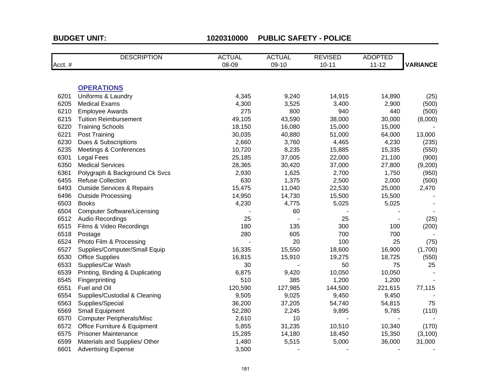#### **1020310000 PUBLIC SAFETY - POLICE**

|         | <b>DESCRIPTION</b>                    | <b>ACTUAL</b> | <b>ACTUAL</b> | <b>REVISED</b> | <b>ADOPTED</b> |                 |
|---------|---------------------------------------|---------------|---------------|----------------|----------------|-----------------|
| Acct. # |                                       | 08-09         | 09-10         | $10 - 11$      | $11 - 12$      | <b>VARIANCE</b> |
|         |                                       |               |               |                |                |                 |
|         | <b>OPERATIONS</b>                     |               |               |                |                |                 |
| 6201    | Uniforms & Laundry                    | 4,345         | 9,240         | 14,915         | 14,890         | (25)            |
| 6205    | <b>Medical Exams</b>                  | 4,300         | 3,525         | 3,400          | 2,900          | (500)           |
| 6210    | <b>Employee Awards</b>                | 275           | 800           | 940            | 440            | (500)           |
| 6215    | <b>Tuition Reimbursement</b>          | 49,105        | 43,590        | 38,000         | 30,000         | (8,000)         |
| 6220    | <b>Training Schools</b>               | 18,150        | 16,080        | 15,000         | 15,000         |                 |
| 6221    | Post Training                         | 30,035        | 40,880        | 51,000         | 64,000         | 13,000          |
| 6230    | Dues & Subscriptions                  | 2,660         | 3,760         | 4,465          | 4,230          | (235)           |
| 6235    | Meetings & Conferences                | 10,720        | 8,235         | 15,885         | 15,335         | (550)           |
| 6301    | <b>Legal Fees</b>                     | 25,185        | 37,005        | 22,000         | 21,100         | (900)           |
| 6350    | <b>Medical Services</b>               | 28,365        | 30,420        | 37,000         | 27,800         | (9,200)         |
| 6361    | Polygraph & Background Ck Svcs        | 2,930         | 1,625         | 2,700          | 1,750          | (950)           |
| 6455    | <b>Refuse Collection</b>              | 630           | 1,375         | 2,500          | 2,000          | (500)           |
| 6493    | <b>Outside Services &amp; Repairs</b> | 15,475        | 11,040        | 22,530         | 25,000         | 2,470           |
| 6496    | <b>Outside Processing</b>             | 14,950        | 14,730        | 15,500         | 15,500         |                 |
| 6503    | <b>Books</b>                          | 4,230         | 4,775         | 5,025          | 5,025          |                 |
| 6504    | <b>Computer Software/Licensing</b>    |               | 60            |                |                |                 |
| 6512    | Audio Recordings                      | 25            |               | 25             |                | (25)            |
| 6515    | Films & Video Recordings              | 180           | 135           | 300            | 100            | (200)           |
| 6518    | Postage                               | 280           | 605           | 700            | 700            |                 |
| 6524    | Photo Film & Processing               |               | 20            | 100            | 25             | (75)            |
| 6527    | Supplies/Computer/Small Equip         | 16,335        | 15,550        | 18,600         | 16,900         | (1,700)         |
| 6530    | <b>Office Supplies</b>                | 16,815        | 15,910        | 19,275         | 18,725         | (550)           |
| 6533    | Supplies/Car Wash                     | 30            |               | 50             | 75             | 25              |
| 6539    | Printing, Binding & Duplicating       | 6,875         | 9,420         | 10,050         | 10,050         |                 |
| 6545    | Fingerprinting                        | 510           | 385           | 1,200          | 1,200          |                 |
| 6551    | Fuel and Oil                          | 120,590       | 127,985       | 144,500        | 221,615        | 77,115          |
| 6554    | Supplies/Custodial & Cleaning         | 9,505         | 9,025         | 9,450          | 9,450          |                 |
| 6563    | Supplies/Special                      | 36,200        | 37,205        | 54,740         | 54,815         | 75              |
| 6569    | Small Equipment                       | 52,280        | 2,245         | 9,895          | 9,785          | (110)           |
| 6570    | <b>Computer Peripherals/Misc</b>      | 2,610         | 10            |                |                |                 |
| 6572    | Office Furniture & Equipment          | 5,855         | 31,235        | 10,510         | 10,340         | (170)           |
| 6575    | <b>Prisoner Maintenance</b>           | 15,285        | 14,180        | 18,450         | 15,350         | (3, 100)        |
| 6599    | Materials and Supplies/ Other         | 1,480         | 5,515         | 5,000          | 36,000         | 31,000          |
| 6601    | <b>Advertising Expense</b>            | 3,500         |               |                |                |                 |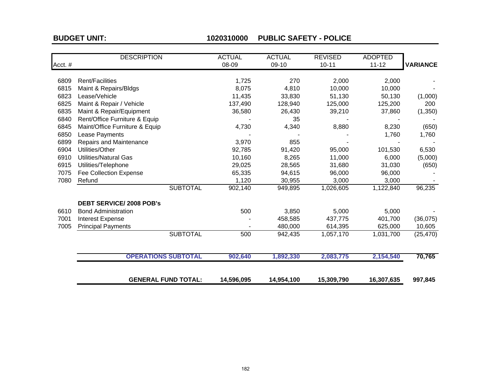#### **1020310000 PUBLIC SAFETY - POLICE**

|        | <b>DESCRIPTION</b>             | <b>ACTUAL</b> | <b>ACTUAL</b> | <b>REVISED</b> | <b>ADOPTED</b> |                 |
|--------|--------------------------------|---------------|---------------|----------------|----------------|-----------------|
| Acct.# |                                | 08-09         | 09-10         | $10 - 11$      | $11 - 12$      | <b>VARIANCE</b> |
|        |                                |               |               |                |                |                 |
| 6809   | Rent/Facilities                | 1,725         | 270           | 2,000          | 2,000          |                 |
| 6815   | Maint & Repairs/Bldgs          | 8,075         | 4,810         | 10,000         | 10,000         |                 |
| 6823   | Lease/Vehicle                  | 11,435        | 33,830        | 51,130         | 50,130         | (1,000)         |
| 6825   | Maint & Repair / Vehicle       | 137,490       | 128,940       | 125,000        | 125,200        | 200             |
| 6835   | Maint & Repair/Equipment       | 36,580        | 26,430        | 39,210         | 37,860         | (1,350)         |
| 6840   | Rent/Office Furniture & Equip  |               | 35            |                |                |                 |
| 6845   | Maint/Office Furniture & Equip | 4,730         | 4,340         | 8,880          | 8,230          | (650)           |
| 6850   | Lease Payments                 |               |               |                | 1,760          | 1,760           |
| 6899   | Repairs and Maintenance        | 3,970         | 855           |                |                |                 |
| 6904   | Utilities/Other                | 92,785        | 91,420        | 95,000         | 101,530        | 6,530           |
| 6910   | <b>Utilities/Natural Gas</b>   | 10,160        | 8,265         | 11,000         | 6,000          | (5,000)         |
| 6915   | Utilities/Telephone            | 29,025        | 28,565        | 31,680         | 31,030         | (650)           |
| 7075   | <b>Fee Collection Expense</b>  | 65,335        | 94,615        | 96,000         | 96,000         |                 |
| 7080   | Refund                         | 1,120         | 30,955        | 3,000          | 3,000          |                 |
|        | <b>SUBTOTAL</b>                | 902,140       | 949,895       | 1,026,605      | 1,122,840      | 96,235          |
|        | <b>DEBT SERVICE/2008 POB's</b> |               |               |                |                |                 |
| 6610   | <b>Bond Administration</b>     | 500           | 3,850         | 5,000          | 5,000          |                 |
| 7001   | Interest Expense               |               | 458,585       | 437,775        | 401,700        | (36,075)        |
| 7005   | <b>Principal Payments</b>      |               | 480,000       | 614,395        | 625,000        | 10,605          |
|        | <b>SUBTOTAL</b>                | 500           | 942,435       | 1,057,170      | 1,031,700      | (25, 470)       |
|        |                                |               |               |                |                |                 |
|        | <b>OPERATIONS SUBTOTAL</b>     | 902,640       | 1,892,330     | 2,083,775      | 2,154,540      | 70,765          |
|        |                                |               |               |                |                |                 |
|        | <b>GENERAL FUND TOTAL:</b>     | 14,596,095    | 14,954,100    | 15,309,790     | 16,307,635     | 997,845         |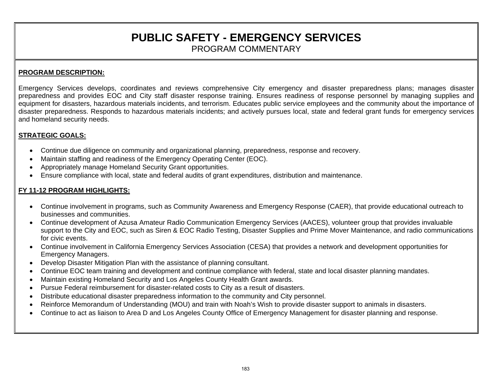# **PUBLIC SAFETY - EMERGENCY SERVICES**

PROGRAM COMMENTARY

### **PROGRAM DESCRIPTION:**

Emergency Services develops, coordinates and reviews comprehensive City emergency and disaster preparedness plans; manages disaster preparedness and provides EOC and City staff disaster response training. Ensures readiness of response personnel by managing supplies and equipment for disasters, hazardous materials incidents, and terrorism. Educates public service employees and the community about the importance of disaster preparedness. Responds to hazardous materials incidents; and actively pursues local, state and federal grant funds for emergency services and homeland security needs.

## **STRATEGIC GOALS:**

- Continue due diligence on community and organizational planning, preparedness, response and recovery.
- Maintain staffing and readiness of the Emergency Operating Center (EOC).
- Appropriately manage Homeland Security Grant opportunities.
- Ensure compliance with local, state and federal audits of grant expenditures, distribution and maintenance.

## **FY 11-12 PROGRAM HIGHLIGHTS:**

- Continue involvement in programs, such as Community Awareness and Emergency Response (CAER), that provide educational outreach to businesses and communities.
- Continue development of Azusa Amateur Radio Communication Emergency Services (AACES), volunteer group that provides invaluable support to the City and EOC, such as Siren & EOC Radio Testing, Disaster Supplies and Prime Mover Maintenance, and radio communications for civic events.
- Continue involvement in California Emergency Services Association (CESA) that provides a network and development opportunities for Emergency Managers.
- Develop Disaster Mitigation Plan with the assistance of planning consultant.
- Continue EOC team training and development and continue compliance with federal, state and local disaster planning mandates.
- Maintain existing Homeland Security and Los Angeles County Health Grant awards.
- Pursue Federal reimbursement for disaster-related costs to City as a result of disasters.
- Distribute educational disaster preparedness information to the community and City personnel.
- Reinforce Memorandum of Understanding (MOU) and train with Noah's Wish to provide disaster support to animals in disasters.
- Continue to act as liaison to Area D and Los Angeles County Office of Emergency Management for disaster planning and response.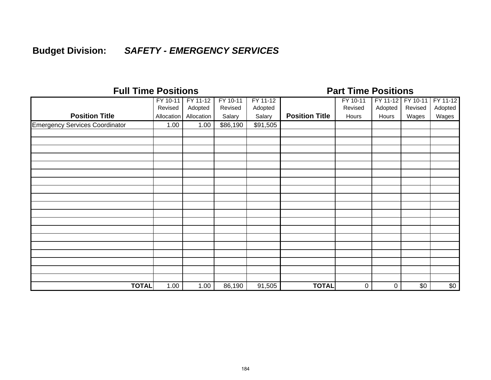# **Budget Division:** *SAFETY - EMERGENCY SERVICES*

# **Full Time Positions**

# **Part Time Positions**

|                                       | FY 10-11   | FY 11-12   | FY 10-11 | FY 11-12 |                       | FY 10-11    | FY 11-12 | FY 10-11 | FY 11-12 |
|---------------------------------------|------------|------------|----------|----------|-----------------------|-------------|----------|----------|----------|
|                                       | Revised    | Adopted    | Revised  | Adopted  |                       | Revised     | Adopted  | Revised  | Adopted  |
| <b>Position Title</b>                 | Allocation | Allocation | Salary   | Salary   | <b>Position Title</b> | Hours       | Hours    | Wages    | Wages    |
| <b>Emergency Services Coordinator</b> | 1.00       | 1.00       | \$86,190 | \$91,505 |                       |             |          |          |          |
|                                       |            |            |          |          |                       |             |          |          |          |
|                                       |            |            |          |          |                       |             |          |          |          |
|                                       |            |            |          |          |                       |             |          |          |          |
|                                       |            |            |          |          |                       |             |          |          |          |
|                                       |            |            |          |          |                       |             |          |          |          |
|                                       |            |            |          |          |                       |             |          |          |          |
|                                       |            |            |          |          |                       |             |          |          |          |
|                                       |            |            |          |          |                       |             |          |          |          |
|                                       |            |            |          |          |                       |             |          |          |          |
|                                       |            |            |          |          |                       |             |          |          |          |
|                                       |            |            |          |          |                       |             |          |          |          |
|                                       |            |            |          |          |                       |             |          |          |          |
|                                       |            |            |          |          |                       |             |          |          |          |
|                                       |            |            |          |          |                       |             |          |          |          |
|                                       |            |            |          |          |                       |             |          |          |          |
|                                       |            |            |          |          |                       |             |          |          |          |
|                                       |            |            |          |          |                       |             |          |          |          |
|                                       |            |            |          |          |                       |             |          |          |          |
| <b>TOTAL</b>                          | 1.00       | 1.00       | 86,190   | 91,505   | <b>TOTAL</b>          | $\mathbf 0$ | 0        | \$0      | \$0      |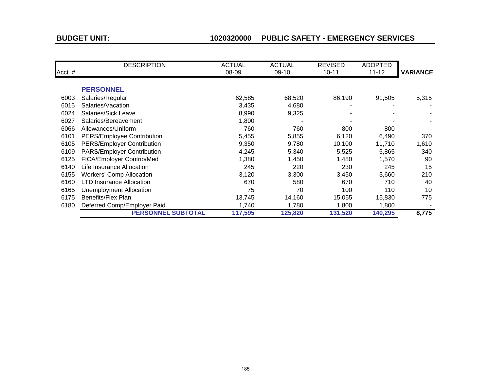#### **BUDGET UNIT: 1020320000 PUBLIC SAFETY - EMERGENCY SERVICES**

|         | <b>DESCRIPTION</b>                | <b>ACTUAL</b> | <b>ACTUAL</b> | <b>REVISED</b> | <b>ADOPTED</b> |                 |
|---------|-----------------------------------|---------------|---------------|----------------|----------------|-----------------|
| Acct. # |                                   | 08-09         | 09-10         | $10 - 11$      | $11 - 12$      | <b>VARIANCE</b> |
|         |                                   |               |               |                |                |                 |
|         | <b>PERSONNEL</b>                  |               |               |                |                |                 |
| 6003    | Salaries/Regular                  | 62,585        | 68,520        | 86,190         | 91,505         | 5,315           |
| 6015    | Salaries/Vacation                 | 3,435         | 4,680         |                |                |                 |
| 6024    | Salaries/Sick Leave               | 8,990         | 9,325         |                |                |                 |
| 6027    | Salaries/Bereavement              | 1,800         |               |                |                |                 |
| 6066    | Allowances/Uniform                | 760           | 760           | 800            | 800            |                 |
| 6101    | PERS/Employee Contribution        | 5,455         | 5,855         | 6,120          | 6,490          | 370             |
| 6105    | <b>PERS/Employer Contribution</b> | 9,350         | 9,780         | 10,100         | 11,710         | 1,610           |
| 6109    | <b>PARS/Employer Contribution</b> | 4,245         | 5,340         | 5,525          | 5,865          | 340             |
| 6125    | FICA/Employer Contrib/Med         | 1,380         | 1,450         | 1,480          | 1,570          | 90              |
| 6140    | Life Insurance Allocation         | 245           | 220           | 230            | 245            | 15              |
| 6155    | <b>Workers' Comp Allocation</b>   | 3,120         | 3,300         | 3,450          | 3,660          | 210             |
| 6160    | <b>LTD Insurance Allocation</b>   | 670           | 580           | 670            | 710            | 40              |
| 6165    | <b>Unemployment Allocation</b>    | 75            | 70            | 100            | 110            | 10              |
| 6175    | Benefits/Flex Plan                | 13,745        | 14,160        | 15,055         | 15,830         | 775             |
| 6180    | Deferred Comp/Employer Paid       | 1,740         | 1,780         | 1,800          | 1,800          |                 |
|         | <b>PERSONNEL SUBTOTAL</b>         | 117,595       | 125,820       | 131,520        | 140,295        | 8,775           |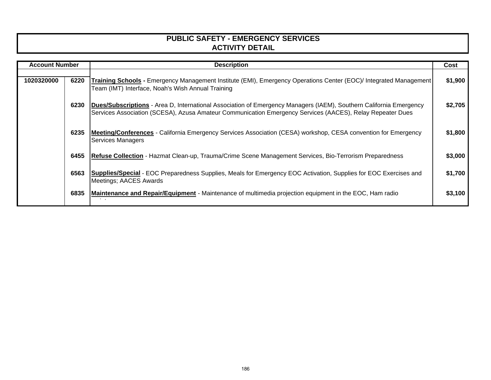# **PUBLIC SAFETY - EMERGENCY SERVICES ACTIVITY DETAIL**

| <b>Account Number</b> |      | <b>Description</b>                                                                                                                                                                                                                     | Cost    |
|-----------------------|------|----------------------------------------------------------------------------------------------------------------------------------------------------------------------------------------------------------------------------------------|---------|
| 1020320000            | 6220 | Training Schools - Emergency Management Institute (EMI), Emergency Operations Center (EOC)/ Integrated Management<br>Team (IMT) Interface, Noah's Wish Annual Training                                                                 | \$1,900 |
|                       | 6230 | <b>Dues/Subscriptions</b> - Area D, International Association of Emergency Managers (IAEM), Southern California Emergency<br>Services Association (SCESA), Azusa Amateur Communication Emergency Services (AACES), Relay Repeater Dues | \$2,705 |
|                       | 6235 | Meeting/Conferences - California Emergency Services Association (CESA) workshop, CESA convention for Emergency<br>Services Managers                                                                                                    | \$1,800 |
|                       | 6455 | Refuse Collection - Hazmat Clean-up, Trauma/Crime Scene Management Services, Bio-Terrorism Preparedness                                                                                                                                | \$3,000 |
|                       | 6563 | Supplies/Special - EOC Preparedness Supplies, Meals for Emergency EOC Activation, Supplies for EOC Exercises and<br>Meetings; AACES Awards                                                                                             | \$1,700 |
|                       | 6835 | Maintenance and Repair/Equipment - Maintenance of multimedia projection equipment in the EOC, Ham radio                                                                                                                                | \$3,100 |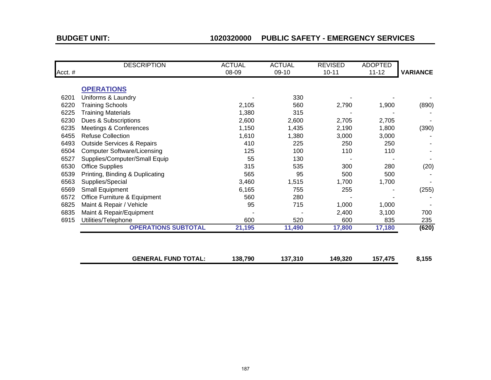#### **BUDGET UNIT: 1020320000 PUBLIC SAFETY - EMERGENCY SERVICES**

|         | <b>DESCRIPTION</b>                    | <b>ACTUAL</b> | <b>ACTUAL</b> | <b>REVISED</b> | <b>ADOPTED</b> |                 |
|---------|---------------------------------------|---------------|---------------|----------------|----------------|-----------------|
| Acct. # |                                       | 08-09         | 09-10         | $10 - 11$      | $11 - 12$      | <b>VARIANCE</b> |
|         |                                       |               |               |                |                |                 |
|         | <b>OPERATIONS</b>                     |               |               |                |                |                 |
| 6201    | Uniforms & Laundry                    |               | 330           |                |                |                 |
| 6220    | <b>Training Schools</b>               | 2,105         | 560           | 2,790          | 1,900          | (890)           |
| 6225    | <b>Training Materials</b>             | 1,380         | 315           |                |                |                 |
| 6230    | Dues & Subscriptions                  | 2,600         | 2,600         | 2,705          | 2,705          |                 |
| 6235    | Meetings & Conferences                | 1,150         | 1,435         | 2,190          | 1,800          | (390)           |
| 6455    | <b>Refuse Collection</b>              | 1,610         | 1,380         | 3,000          | 3,000          |                 |
| 6493    | <b>Outside Services &amp; Repairs</b> | 410           | 225           | 250            | 250            |                 |
| 6504    | <b>Computer Software/Licensing</b>    | 125           | 100           | 110            | 110            |                 |
| 6527    | Supplies/Computer/Small Equip         | 55            | 130           |                |                |                 |
| 6530    | <b>Office Supplies</b>                | 315           | 535           | 300            | 280            | (20)            |
| 6539    | Printing, Binding & Duplicating       | 565           | 95            | 500            | 500            |                 |
| 6563    | Supplies/Special                      | 3,460         | 1,515         | 1,700          | 1,700          |                 |
| 6569    | Small Equipment                       | 6,165         | 755           | 255            |                | (255)           |
| 6572    | Office Furniture & Equipment          | 560           | 280           |                |                |                 |
| 6825    | Maint & Repair / Vehicle              | 95            | 715           | 1,000          | 1,000          |                 |
| 6835    | Maint & Repair/Equipment              |               |               | 2,400          | 3,100          | 700             |
| 6915    | Utilities/Telephone                   | 600           | 520           | 600            | 835            | 235             |
|         | <b>OPERATIONS SUBTOTAL</b>            | 21,195        | 11,490        | 17,800         | 17,180         | (620)           |
|         |                                       |               |               |                |                |                 |
|         |                                       |               |               |                |                |                 |
|         |                                       |               |               |                |                |                 |
|         | <b>GENERAL FUND TOTAL:</b>            | 138,790       | 137,310       | 149,320        | 157,475        | 8,155           |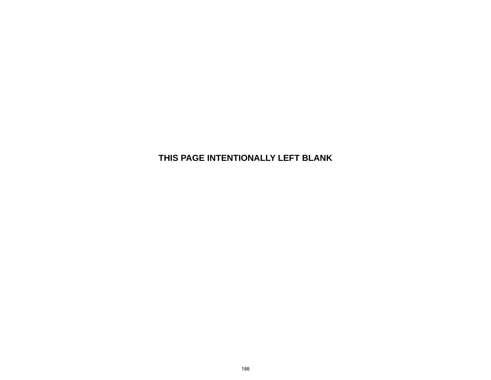# **THIS PAGE INTENTIONALLY LEFT BLANK**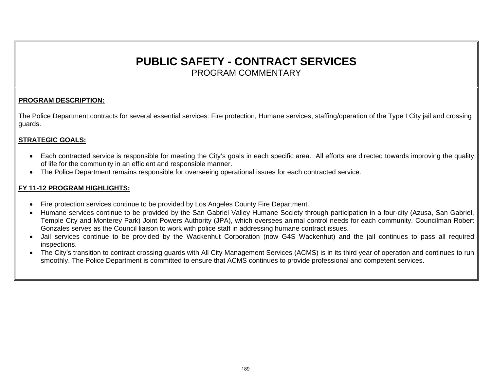# **PUBLIC SAFETY - CONTRACT SERVICES**

PROGRAM COMMENTARY

### **PROGRAM DESCRIPTION:**

The Police Department contracts for several essential services: Fire protection, Humane services, staffing/operation of the Type I City jail and crossing guards.

## **STRATEGIC GOALS:**

- Each contracted service is responsible for meeting the City's goals in each specific area. All efforts are directed towards improving the quality of life for the community in an efficient and responsible manner.
- The Police Department remains responsible for overseeing operational issues for each contracted service.

## **FY 11-12 PROGRAM HIGHLIGHTS:**

- Fire protection services continue to be provided by Los Angeles County Fire Department.
- Humane services continue to be provided by the San Gabriel Valley Humane Society through participation in a four-city (Azusa, San Gabriel, Temple City and Monterey Park) Joint Powers Authority (JPA), which oversees animal control needs for each community. Councilman Robert Gonzales serves as the Council liaison to work with police staff in addressing humane contract issues.
- Jail services continue to be provided by the Wackenhut Corporation (now G4S Wackenhut) and the jail continues to pass all required inspections.
- The City's transition to contract crossing guards with All City Management Services (ACMS) is in its third year of operation and continues to run smoothly. The Police Department is committed to ensure that ACMS continues to provide professional and competent services.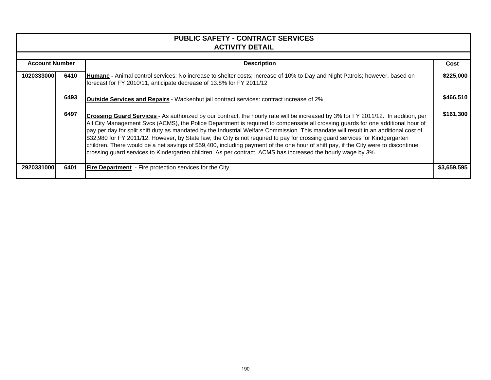|                       |      | <b>PUBLIC SAFETY - CONTRACT SERVICES</b><br><b>ACTIVITY DETAIL</b>                                                                                                                                                                                                                                                                                                                                                                                                                                                                                                                                                                                                                                                                                                                                          |             |
|-----------------------|------|-------------------------------------------------------------------------------------------------------------------------------------------------------------------------------------------------------------------------------------------------------------------------------------------------------------------------------------------------------------------------------------------------------------------------------------------------------------------------------------------------------------------------------------------------------------------------------------------------------------------------------------------------------------------------------------------------------------------------------------------------------------------------------------------------------------|-------------|
|                       |      |                                                                                                                                                                                                                                                                                                                                                                                                                                                                                                                                                                                                                                                                                                                                                                                                             |             |
| <b>Account Number</b> |      | <b>Description</b>                                                                                                                                                                                                                                                                                                                                                                                                                                                                                                                                                                                                                                                                                                                                                                                          | Cost        |
| 1020333000            | 6410 | Humane - Animal control services: No increase to shelter costs; increase of 10% to Day and Night Patrols; however, based on<br>forecast for FY 2010/11, anticipate decrease of 13.8% for FY 2011/12                                                                                                                                                                                                                                                                                                                                                                                                                                                                                                                                                                                                         | \$225,000   |
|                       | 6493 | <b>Outside Services and Repairs</b> - Wackenhut jail contract services: contract increase of 2%                                                                                                                                                                                                                                                                                                                                                                                                                                                                                                                                                                                                                                                                                                             | \$466,510   |
|                       | 6497 | <b>Crossing Guard Services</b> - As authorized by our contract, the hourly rate will be increased by 3% for FY 2011/12. In addition, per<br>All City Management Svcs (ACMS), the Police Department is required to compensate all crossing guards for one additional hour of<br>pay per day for split shift duty as mandated by the Industrial Welfare Commission. This mandate will result in an additional cost of<br>\$32,980 for FY 2011/12. However, by State law, the City is not required to pay for crossing guard services for Kindgergarten<br>children. There would be a net savings of \$59,400, including payment of the one hour of shift pay, if the City were to discontinue<br>crossing guard services to Kindergarten children. As per contract, ACMS has increased the hourly wage by 3%. | \$161,300   |
| 2920331000            | 6401 | <b>Fire Department</b> - Fire protection services for the City                                                                                                                                                                                                                                                                                                                                                                                                                                                                                                                                                                                                                                                                                                                                              | \$3,659,595 |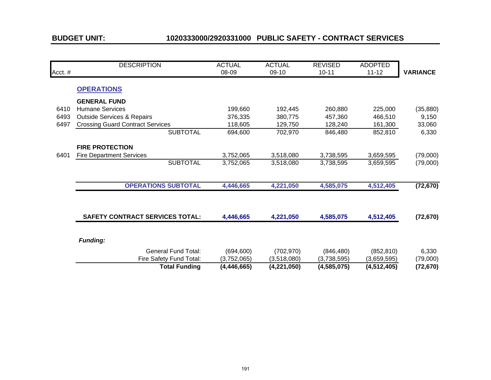#### **BUDGET UNIT: 1020333000/2920331000 PUBLIC SAFETY - CONTRACT SERVICES**

|        | <b>DESCRIPTION</b>                      | <b>ACTUAL</b> | <b>ACTUAL</b> | <b>REVISED</b> | <b>ADOPTED</b> |                 |
|--------|-----------------------------------------|---------------|---------------|----------------|----------------|-----------------|
| Acct.# |                                         | 08-09         | 09-10         | $10 - 11$      | $11 - 12$      | <b>VARIANCE</b> |
|        | <b>OPERATIONS</b>                       |               |               |                |                |                 |
|        |                                         |               |               |                |                |                 |
|        | <b>GENERAL FUND</b>                     |               |               |                |                |                 |
| 6410   | <b>Humane Services</b>                  | 199,660       | 192,445       | 260,880        | 225,000        | (35, 880)       |
| 6493   | <b>Outside Services &amp; Repairs</b>   | 376,335       | 380,775       | 457,360        | 466,510        | 9,150           |
| 6497   | <b>Crossing Guard Contract Services</b> | 118,605       | 129,750       | 128,240        | 161,300        | 33,060          |
|        | <b>SUBTOTAL</b>                         | 694,600       | 702,970       | 846,480        | 852,810        | 6,330           |
|        |                                         |               |               |                |                |                 |
|        | <b>FIRE PROTECTION</b>                  |               |               |                |                |                 |
| 6401   | <b>Fire Department Services</b>         | 3,752,065     | 3,518,080     | 3,738,595      | 3,659,595      | (79,000)        |
|        | <b>SUBTOTAL</b>                         | 3,752,065     | 3,518,080     | 3,738,595      | 3,659,595      | (79,000)        |
|        |                                         |               |               |                |                |                 |
|        | <b>OPERATIONS SUBTOTAL</b>              | 4,446,665     | 4,221,050     | 4,585,075      | 4,512,405      | (72, 670)       |
|        |                                         |               |               |                |                |                 |
|        |                                         |               |               |                |                |                 |
|        | <b>SAFETY CONTRACT SERVICES TOTAL:</b>  | 4,446,665     | 4,221,050     | 4,585,075      | 4,512,405      | (72, 670)       |
|        |                                         |               |               |                |                |                 |
|        | <b>Funding:</b>                         |               |               |                |                |                 |
|        | <b>General Fund Total:</b>              | (694, 600)    | (702, 970)    | (846, 480)     | (852, 810)     | 6,330           |
|        | Fire Safety Fund Total:                 | (3,752,065)   | (3,518,080)   | (3,738,595)    | (3,659,595)    | (79,000)        |
|        | <b>Total Funding</b>                    | (4, 446, 665) | (4,221,050)   | (4,585,075)    | (4, 512, 405)  | (72, 670)       |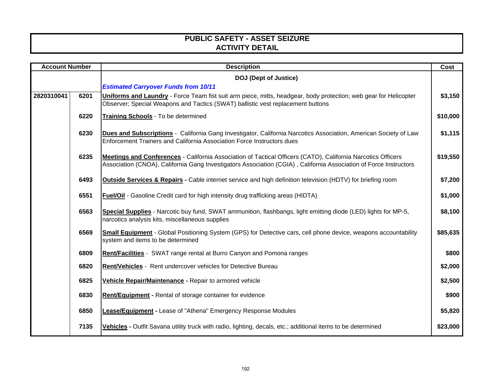# **PUBLIC SAFETY - ASSET SEIZURE ACTIVITY DETAIL**

| <b>Account Number</b> |      | <b>Description</b>                                                                                                                                                                                                                | Cost     |
|-----------------------|------|-----------------------------------------------------------------------------------------------------------------------------------------------------------------------------------------------------------------------------------|----------|
|                       |      | <b>DOJ</b> (Dept of Justice)                                                                                                                                                                                                      |          |
|                       |      | <b>Estimated Carryover Funds from 10/11</b>                                                                                                                                                                                       |          |
| 2820310041            | 6201 | Uniforms and Laundry - Force Team fist suit arm piece, mitts, headgear, body protection; web gear for Helicopter<br>Observer; Special Weapons and Tactics (SWAT) ballistic vest replacement buttons                               | \$3,150  |
|                       | 6220 | Training Schools - To be determined                                                                                                                                                                                               | \$10,000 |
|                       | 6230 | Dues and Subscriptions - California Gang Investigator, California Narcotics Association, American Society of Law<br>Enforcement Trainers and California Association Force Instructors dues                                        | \$1,115  |
|                       | 6235 | Meetings and Conferences - California Association of Tactical Officers (CATO), California Narcotics Officers<br>Association (CNOA), California Gang Investigators Association (CGIA), California Association of Force Instructors | \$19,550 |
|                       | 6493 | Outside Services & Repairs - Cable internet service and high definition television (HDTV) for briefing room                                                                                                                       | \$7,200  |
|                       | 6551 | <b>Fuel/Oil</b> - Gasoline Credit card for high intensity drug trafficking areas (HIDTA)                                                                                                                                          | \$1,000  |
|                       | 6563 | Special Supplies - Narcotic buy fund, SWAT ammunition, flashbangs, light emitting diode (LED) lights for MP-5,<br>narcotics analysis kits, miscellaneous supplies                                                                 | \$8,100  |
|                       | 6569 | <b>Small Equipment</b> - Global Positioning System (GPS) for Detective cars, cell phone device, weapons accountability<br>system and items to be determined                                                                       | \$85,635 |
|                       | 6809 | Rent/Facilities - SWAT range rental at Burro Canyon and Pomona ranges                                                                                                                                                             | \$800    |
|                       | 6820 | <b>Rent/Vehicles</b> - Rent undercover vehicles for Detective Bureau                                                                                                                                                              | \$2,000  |
|                       | 6825 | Vehicle Repair/Maintenance - Repair to armored vehicle                                                                                                                                                                            | \$2,500  |
|                       | 6830 | <b>Rent/Equipment</b> - Rental of storage container for evidence                                                                                                                                                                  | \$900    |
|                       | 6850 | Lease/Equipment - Lease of "Athena" Emergency Response Modules                                                                                                                                                                    | \$5,820  |
|                       | 7135 | Vehicles - Outfit Savana utility truck with radio, lighting, decals, etc.; additional items to be determined                                                                                                                      | \$23,000 |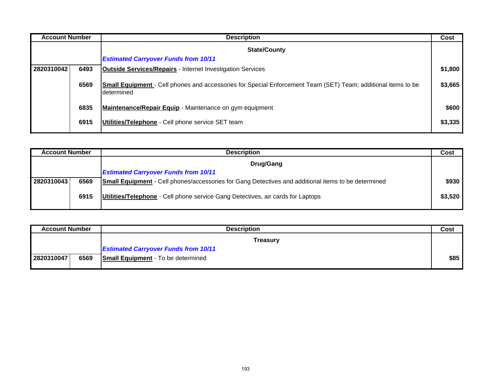| <b>Account Number</b> |      | <b>Description</b>                                                                                                                 | Cost    |
|-----------------------|------|------------------------------------------------------------------------------------------------------------------------------------|---------|
|                       |      | <b>State/County</b><br><b>Estimated Carryover Funds from 10/11</b>                                                                 |         |
| 2820310042            | 6493 | <b>Outside Services/Repairs</b> - Internet Investigation Services                                                                  | \$1,800 |
|                       | 6569 | <b>Small Equipment</b> - Cell phones and accessories for Special Enforcement Team (SET) Team; additional items to be<br>determined | \$3,665 |
|                       | 6835 | Maintenance/Repair Equip - Maintenance on gym equipment                                                                            | \$600   |
|                       | 6915 | Utilities/Telephone - Cell phone service SET team                                                                                  | \$3,335 |

| <b>Account Number</b> |      | <b>Description</b>                                                                                         | Cost    |
|-----------------------|------|------------------------------------------------------------------------------------------------------------|---------|
|                       |      | Drug/Gang                                                                                                  |         |
|                       |      | <b>Estimated Carryover Funds from 10/11</b>                                                                |         |
| 2820310043            | 6569 | <b>Small Equipment</b> - Cell phones/accessories for Gang Detectives and additional items to be determined | \$930   |
|                       | 6915 | Utilities/Telephone - Cell phone service Gang Detectives, air cards for Laptops                            | \$3,520 |

| <b>Account Number</b> |      | <b>Description</b>                          | Cost |
|-----------------------|------|---------------------------------------------|------|
|                       |      | Treasurv                                    |      |
|                       |      | <b>Estimated Carryover Funds from 10/11</b> |      |
| 2820310047            | 6569 | <b>Small Equipment</b> - To be determined   | \$85 |
|                       |      |                                             |      |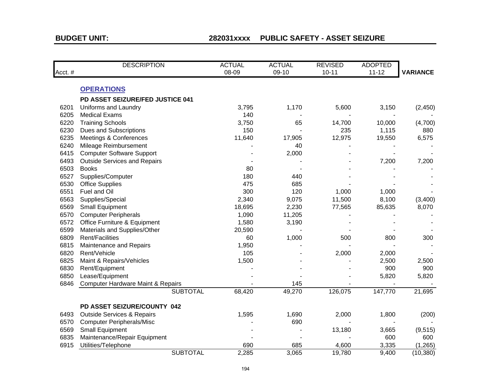#### **BUDGET UNIT: 282031xxxx PUBLIC SAFETY - ASSET SEIZURE**

|         | <b>DESCRIPTION</b>                           | <b>ACTUAL</b> | <b>ACTUAL</b> | <b>REVISED</b> | <b>ADOPTED</b> |                 |
|---------|----------------------------------------------|---------------|---------------|----------------|----------------|-----------------|
| Acct. # |                                              | 08-09         | 09-10         | $10 - 11$      | $11 - 12$      | <b>VARIANCE</b> |
|         | <b>OPERATIONS</b>                            |               |               |                |                |                 |
|         |                                              |               |               |                |                |                 |
|         | PD ASSET SEIZURE/FED JUSTICE 041             |               |               |                |                |                 |
| 6201    | Uniforms and Laundry                         | 3,795         | 1,170         | 5,600          | 3,150          | (2, 450)        |
| 6205    | <b>Medical Exams</b>                         | 140           |               |                |                |                 |
| 6220    | <b>Training Schools</b>                      | 3,750         | 65            | 14,700         | 10,000         | (4,700)         |
| 6230    | <b>Dues and Subscriptions</b>                | 150           |               | 235            | 1,115          | 880             |
| 6235    | Meetings & Conferences                       | 11,640        | 17,905        | 12,975         | 19,550         | 6,575           |
| 6240    | Mileage Reimbursement                        |               | 40            |                |                |                 |
| 6415    | <b>Computer Software Support</b>             |               | 2,000         |                |                |                 |
| 6493    | <b>Outside Services and Repairs</b>          |               |               |                | 7,200          | 7,200           |
| 6503    | <b>Books</b>                                 | 80            |               |                |                |                 |
| 6527    | Supplies/Computer                            | 180           | 440           |                |                |                 |
| 6530    | <b>Office Supplies</b>                       | 475           | 685           |                |                |                 |
| 6551    | Fuel and Oil                                 | 300           | 120           | 1,000          | 1,000          |                 |
| 6563    | Supplies/Special                             | 2,340         | 9,075         | 11,500         | 8,100          | (3,400)         |
| 6569    | Small Equipment                              | 18,695        | 2,230         | 77,565         | 85,635         | 8,070           |
| 6570    | <b>Computer Peripherals</b>                  | 1,090         | 11,205        |                |                |                 |
| 6572    | Office Furniture & Equipment                 | 1,580         | 3,190         |                |                |                 |
| 6599    | Materials and Supplies/Other                 | 20,590        |               |                |                |                 |
| 6809    | Rent/Facilities                              | 60            | 1,000         | 500            | 800            | 300             |
| 6815    | Maintenance and Repairs                      | 1,950         |               |                |                |                 |
| 6820    | Rent/Vehicle                                 | 105           |               | 2,000          | 2,000          |                 |
| 6825    | Maint & Repairs/Vehicles                     | 1,500         |               |                | 2,500          | 2,500           |
| 6830    | Rent/Equipment                               |               |               |                | 900            | 900             |
| 6850    | Lease/Equipment                              |               |               |                | 5,820          | 5,820           |
| 6846    | <b>Computer Hardware Maint &amp; Repairs</b> |               | 145           |                |                |                 |
|         | <b>SUBTOTAL</b>                              | 68,420        | 49,270        | 126,075        | 147,770        | 21,695          |
|         |                                              |               |               |                |                |                 |
|         | PD ASSET SEIZURE/COUNTY 042                  |               |               |                |                |                 |
| 6493    | <b>Outside Services &amp; Repairs</b>        | 1,595         | 1,690         | 2,000          | 1,800          | (200)           |
| 6570    | <b>Computer Peripherals/Misc</b>             |               | 690           |                |                |                 |
| 6569    | Small Equipment                              |               |               | 13,180         | 3,665          | (9, 515)        |
| 6835    | Maintenance/Repair Equipment                 |               |               |                | 600            | 600             |
| 6915    | Utilities/Telephone                          | 690           | 685           | 4,600          | 3,335          | (1, 265)        |
|         | <b>SUBTOTAL</b>                              | 2,285         | 3,065         | 19,780         | 9,400          | (10, 380)       |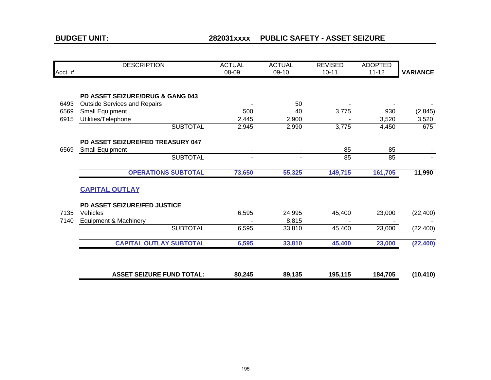#### **BUDGET UNIT: 282031xxxx PUBLIC SAFETY - ASSET SEIZURE**

|         | <b>DESCRIPTION</b>                  | <b>ACTUAL</b>  | <b>ACTUAL</b> | <b>REVISED</b> | <b>ADOPTED</b> |                 |
|---------|-------------------------------------|----------------|---------------|----------------|----------------|-----------------|
| Acct. # |                                     | 08-09          | 09-10         | $10 - 11$      | $11 - 12$      | <b>VARIANCE</b> |
|         |                                     |                |               |                |                |                 |
|         | PD ASSET SEIZURE/DRUG & GANG 043    |                |               |                |                |                 |
| 6493    | <b>Outside Services and Repairs</b> |                | 50            |                |                |                 |
| 6569    | Small Equipment                     | 500            | 40            | 3,775          | 930            | (2,845)         |
| 6915    | Utilities/Telephone                 | 2,445          | 2,900         |                | 3,520          | 3,520           |
|         | <b>SUBTOTAL</b>                     | 2,945          | 2,990         | 3,775          | 4,450          | 675             |
|         |                                     |                |               |                |                |                 |
|         | PD ASSET SEIZURE/FED TREASURY 047   |                |               |                |                |                 |
| 6569    | Small Equipment                     | $\blacksquare$ |               | 85             | 85             |                 |
|         | <b>SUBTOTAL</b>                     | $\blacksquare$ | ۰             | 85             | 85             |                 |
|         | <b>OPERATIONS SUBTOTAL</b>          | 73,650         | 55,325        | 149,715        | 161,705        | 11,990          |
|         | <b>CAPITAL OUTLAY</b>               |                |               |                |                |                 |
|         |                                     |                |               |                |                |                 |
|         | PD ASSET SEIZURE/FED JUSTICE        |                |               |                |                |                 |
| 7135    | Vehicles                            | 6,595          | 24,995        | 45,400         | 23,000         | (22, 400)       |
| 7140    | Equipment & Machinery               |                | 8,815         |                |                |                 |
|         | <b>SUBTOTAL</b>                     | 6,595          | 33,810        | 45,400         | 23,000         | (22, 400)       |
|         | <b>CAPITAL OUTLAY SUBTOTAL</b>      | 6,595          | 33,810        | 45,400         | 23,000         | (22, 400)       |
|         |                                     |                |               |                |                |                 |
|         |                                     |                |               |                |                |                 |
|         | <b>ASSET SEIZURE FUND TOTAL:</b>    | 80,245         | 89,135        | 195,115        | 184,705        | (10, 410)       |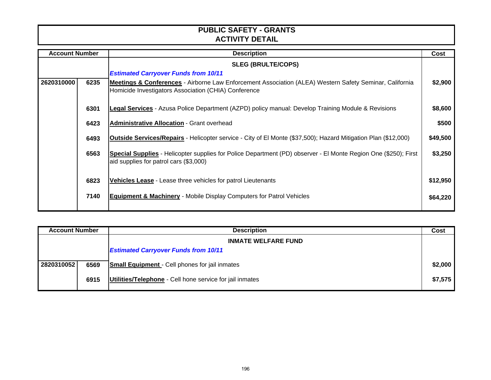# **PUBLIC SAFETY - GRANTS ACTIVITY DETAIL**

| <b>Account Number</b> |      | <b>Description</b>                                                                                                                                              | Cost     |
|-----------------------|------|-----------------------------------------------------------------------------------------------------------------------------------------------------------------|----------|
|                       |      | <b>SLEG (BRULTE/COPS)</b><br><b>Estimated Carryover Funds from 10/11</b>                                                                                        |          |
| 2620310000            | 6235 | Meetings & Conferences - Airborne Law Enforcement Association (ALEA) Western Safety Seminar, California<br>Homicide Investigators Association (CHIA) Conference | \$2,900  |
|                       | 6301 | Legal Services - Azusa Police Department (AZPD) policy manual: Develop Training Module & Revisions                                                              | \$8,600  |
|                       | 6423 | <b>Administrative Allocation - Grant overhead</b>                                                                                                               | \$500    |
|                       | 6493 | <b>Outside Services/Repairs</b> - Helicopter service - City of El Monte (\$37,500); Hazard Mitigation Plan (\$12,000)                                           | \$49,500 |
|                       | 6563 | Special Supplies - Helicopter supplies for Police Department (PD) observer - El Monte Region One (\$250); First<br>aid supplies for patrol cars (\$3,000)       | \$3,250  |
|                       | 6823 | Vehicles Lease - Lease three vehicles for patrol Lieutenants                                                                                                    | \$12,950 |
|                       | 7140 | <b>Equipment &amp; Machinery - Mobile Display Computers for Patrol Vehicles</b>                                                                                 | \$64,220 |

| <b>Account Number</b> |      | <b>Description</b>                                              | Cost    |
|-----------------------|------|-----------------------------------------------------------------|---------|
|                       |      | <b>INMATE WELFARE FUND</b>                                      |         |
|                       |      | <b>Estimated Carryover Funds from 10/11</b>                     |         |
| 2820310052            | 6569 | <b>Small Equipment</b> - Cell phones for jail inmates           | \$2,000 |
|                       | 6915 | <b>Utilities/Telephone</b> - Cell hone service for jail inmates | \$7,575 |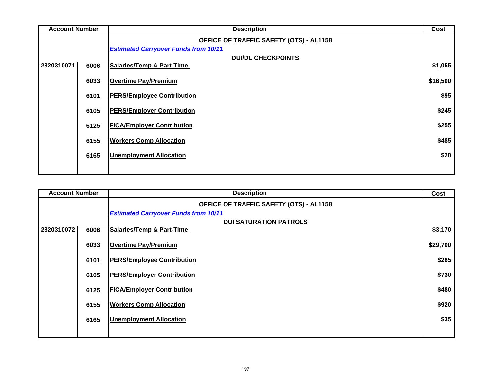| <b>Account Number</b> |      | <b>Description</b>                          | Cost     |
|-----------------------|------|---------------------------------------------|----------|
|                       |      | OFFICE OF TRAFFIC SAFETY (OTS) - AL1158     |          |
|                       |      | <b>Estimated Carryover Funds from 10/11</b> |          |
|                       |      | <b>DUI/DL CHECKPOINTS</b>                   |          |
| 2820310071            | 6006 | <b>Salaries/Temp &amp; Part-Time</b>        | \$1,055  |
|                       | 6033 | <b>Overtime Pay/Premium</b>                 | \$16,500 |
|                       | 6101 | <b>PERS/Employee Contribution</b>           | \$95     |
|                       | 6105 | <b>PERS/Employer Contribution</b>           | \$245    |
|                       | 6125 | <b>FICA/Employer Contribution</b>           | \$255    |
|                       | 6155 | <b>Workers Comp Allocation</b>              | \$485    |
|                       | 6165 | <b>Unemployment Allocation</b>              | \$20     |
|                       |      |                                             |          |

| <b>Account Number</b> |      | <b>Description</b>                                                                     | Cost     |
|-----------------------|------|----------------------------------------------------------------------------------------|----------|
|                       |      | OFFICE OF TRAFFIC SAFETY (OTS) - AL1158<br><b>Estimated Carryover Funds from 10/11</b> |          |
|                       |      | <b>DUI SATURATION PATROLS</b>                                                          |          |
| 2820310072            | 6006 | <b>Salaries/Temp &amp; Part-Time</b>                                                   | \$3,170  |
|                       | 6033 | <b>Overtime Pay/Premium</b>                                                            | \$29,700 |
|                       | 6101 | <b>PERS/Employee Contribution</b>                                                      | \$285    |
|                       | 6105 | <b>PERS/Employer Contribution</b>                                                      | \$730    |
|                       | 6125 | <b>FICA/Employer Contribution</b>                                                      | \$480    |
|                       | 6155 | <b>Workers Comp Allocation</b>                                                         | \$920    |
|                       | 6165 | <b>Unemployment Allocation</b>                                                         | \$35     |
|                       |      |                                                                                        |          |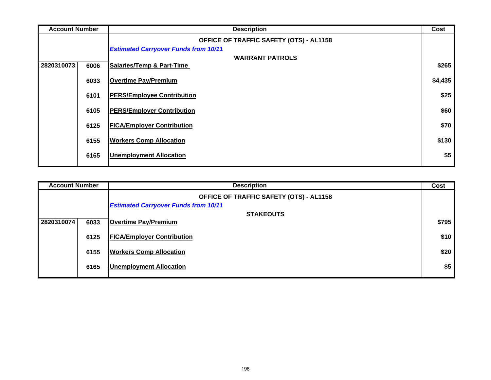| <b>Account Number</b> |      | <b>Description</b>                          | Cost    |
|-----------------------|------|---------------------------------------------|---------|
|                       |      | OFFICE OF TRAFFIC SAFETY (OTS) - AL1158     |         |
|                       |      | <b>Estimated Carryover Funds from 10/11</b> |         |
|                       |      | <b>WARRANT PATROLS</b>                      |         |
| 2820310073            | 6006 | Salaries/Temp & Part-Time                   | \$265   |
|                       | 6033 | <b>Overtime Pay/Premium</b>                 | \$4,435 |
|                       | 6101 | <b>PERS/Employee Contribution</b>           | \$25    |
|                       | 6105 | <b>PERS/Employer Contribution</b>           | \$60    |
|                       | 6125 | <b>FICA/Employer Contribution</b>           | \$70    |
|                       | 6155 | <b>Workers Comp Allocation</b>              | \$130   |
|                       | 6165 | <b>Unemployment Allocation</b>              | \$5     |

| <b>Account Number</b> |      | <b>Description</b>                          |       |
|-----------------------|------|---------------------------------------------|-------|
|                       |      | OFFICE OF TRAFFIC SAFETY (OTS) - AL1158     |       |
|                       |      | <b>Estimated Carryover Funds from 10/11</b> |       |
|                       |      | <b>STAKEOUTS</b>                            |       |
| 2820310074            | 6033 | <b>Overtime Pay/Premium</b>                 | \$795 |
|                       | 6125 | <b>FICA/Employer Contribution</b>           | \$10  |
|                       | 6155 | <b>Workers Comp Allocation</b>              | \$20  |
|                       | 6165 | <b>Unemployment Allocation</b>              | \$5   |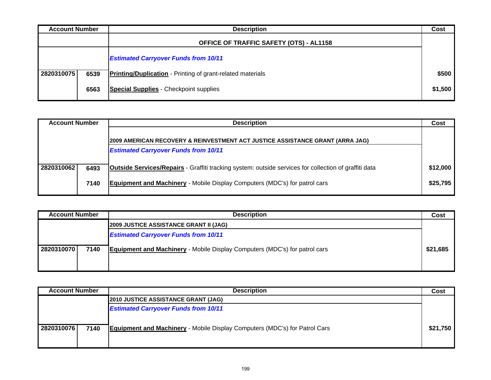| <b>Account Number</b> |      | <b>Description</b>                                                |         |
|-----------------------|------|-------------------------------------------------------------------|---------|
|                       |      | <b>OFFICE OF TRAFFIC SAFETY (OTS) - AL1158</b>                    |         |
|                       |      | <b>Estimated Carryover Funds from 10/11</b>                       |         |
| 2820310075<br>6539    |      | <b>Printing/Duplication</b> - Printing of grant-related materials | \$500   |
|                       | 6563 | <b>Special Supplies</b> - Checkpoint supplies                     | \$1,500 |

| <b>Account Number</b> |      | <b>Description</b>                                                                                                           |          |  |
|-----------------------|------|------------------------------------------------------------------------------------------------------------------------------|----------|--|
|                       |      | 2009 AMERICAN RECOVERY & REINVESTMENT ACT JUSTICE ASSISTANCE GRANT (ARRA JAG)<br><b>Estimated Carryover Funds from 10/11</b> |          |  |
| 2820310062            | 6493 | <b>Outside Services/Repairs</b> - Graffiti tracking system: outside services for collection of graffiti data                 | \$12,000 |  |
|                       | 7140 | <b>Equipment and Machinery</b> - Mobile Display Computers (MDC's) for patrol cars                                            | \$25,795 |  |

| <b>Account Number</b> |      | <b>Description</b>                                                                |          |  |
|-----------------------|------|-----------------------------------------------------------------------------------|----------|--|
|                       |      | <b>2009 JUSTICE ASSISTANCE GRANT II (JAG)</b>                                     |          |  |
|                       |      | <b>Estimated Carryover Funds from 10/11</b>                                       |          |  |
| 2820310070            | 7140 | <b>Equipment and Machinery</b> - Mobile Display Computers (MDC's) for patrol cars | \$21,685 |  |
|                       |      |                                                                                   |          |  |

| <b>Account Number</b> | <b>Description</b>                                                                |          |  |  |
|-----------------------|-----------------------------------------------------------------------------------|----------|--|--|
|                       | <b>2010 JUSTICE ASSISTANCE GRANT (JAG)</b>                                        |          |  |  |
|                       | <b>Estimated Carryover Funds from 10/11</b>                                       |          |  |  |
| 2820310076<br>7140    | <b>Equipment and Machinery</b> - Mobile Display Computers (MDC's) for Patrol Cars | \$21,750 |  |  |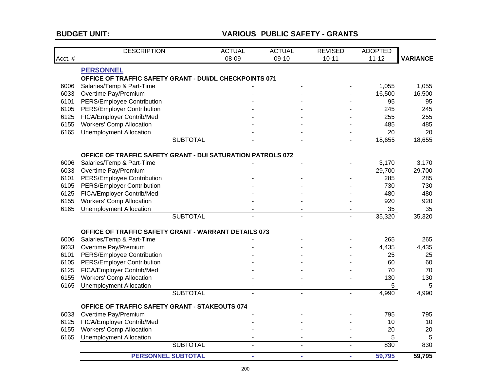#### **VARIOUS PUBLIC SAFETY - GRANTS**

|         | <b>DESCRIPTION</b>                                                 | <b>ACTUAL</b>  | <b>ACTUAL</b>  | <b>REVISED</b> | <b>ADOPTED</b> |                 |  |  |
|---------|--------------------------------------------------------------------|----------------|----------------|----------------|----------------|-----------------|--|--|
| Acct. # |                                                                    | 08-09          | 09-10          | $10 - 11$      | $11 - 12$      | <b>VARIANCE</b> |  |  |
|         | <b>PERSONNEL</b>                                                   |                |                |                |                |                 |  |  |
|         | OFFICE OF TRAFFIC SAFETY GRANT - DUI/DL CHECKPOINTS 071            |                |                |                |                |                 |  |  |
| 6006    | Salaries/Temp & Part-Time                                          |                |                |                | 1,055          | 1,055           |  |  |
| 6033    | Overtime Pay/Premium                                               |                |                |                | 16,500         | 16,500          |  |  |
| 6101    | PERS/Employee Contribution                                         |                |                |                | 95             | 95              |  |  |
| 6105    | PERS/Employer Contribution                                         |                |                |                | 245            | 245             |  |  |
| 6125    | FICA/Employer Contrib/Med                                          |                |                |                | 255            | 255             |  |  |
| 6155    | <b>Workers' Comp Allocation</b>                                    |                |                |                | 485            | 485             |  |  |
| 6165    | <b>Unemployment Allocation</b>                                     |                |                |                | 20             | 20              |  |  |
|         | <b>SUBTOTAL</b>                                                    | $\blacksquare$ |                | $\blacksquare$ | 18,655         | 18,655          |  |  |
|         |                                                                    |                |                |                |                |                 |  |  |
|         | <b>OFFICE OF TRAFFIC SAFETY GRANT - DUI SATURATION PATROLS 072</b> |                |                |                |                |                 |  |  |
| 6006    | Salaries/Temp & Part-Time                                          |                |                |                | 3,170          | 3,170           |  |  |
| 6033    | Overtime Pay/Premium                                               |                |                |                | 29,700         | 29,700          |  |  |
| 6101    | PERS/Employee Contribution                                         |                |                |                | 285            | 285             |  |  |
| 6105    | PERS/Employer Contribution                                         |                |                |                | 730            | 730             |  |  |
| 6125    | FICA/Employer Contrib/Med                                          |                |                |                | 480            | 480             |  |  |
| 6155    | <b>Workers' Comp Allocation</b>                                    |                |                |                | 920            | 920             |  |  |
| 6165    | <b>Unemployment Allocation</b><br><b>SUBTOTAL</b>                  |                |                |                | 35             | 35              |  |  |
|         |                                                                    |                |                |                | 35,320         | 35,320          |  |  |
|         | OFFICE OF TRAFFIC SAFETY GRANT - WARRANT DETAILS 073               |                |                |                |                |                 |  |  |
| 6006    | Salaries/Temp & Part-Time                                          |                |                |                | 265            | 265             |  |  |
| 6033    | Overtime Pay/Premium                                               |                |                |                | 4,435          | 4,435           |  |  |
| 6101    | PERS/Employee Contribution                                         |                |                |                | 25             | 25              |  |  |
| 6105    | <b>PERS/Employer Contribution</b>                                  |                |                |                | 60             | 60              |  |  |
| 6125    | FICA/Employer Contrib/Med                                          |                |                |                | 70             | 70              |  |  |
| 6155    | <b>Workers' Comp Allocation</b>                                    |                |                |                | 130            | 130             |  |  |
| 6165    | <b>Unemployment Allocation</b>                                     |                |                |                | 5              | 5               |  |  |
|         | <b>SUBTOTAL</b>                                                    |                |                |                | 4,990          | 4,990           |  |  |
|         | OFFICE OF TRAFFIC SAFETY GRANT - STAKEOUTS 074                     |                |                |                |                |                 |  |  |
| 6033    |                                                                    |                |                |                | 795            | 795             |  |  |
| 6125    | Overtime Pay/Premium<br>FICA/Employer Contrib/Med                  |                |                |                | 10             | 10              |  |  |
| 6155    | <b>Workers' Comp Allocation</b>                                    |                |                |                | 20             | 20              |  |  |
| 6165    | <b>Unemployment Allocation</b>                                     |                |                |                | 5              | 5               |  |  |
|         | <b>SUBTOTAL</b>                                                    | $\overline{a}$ | $\blacksquare$ |                | 830            | 830             |  |  |
|         | <b>PERSONNEL SUBTOTAL</b>                                          | $\sim$         | $\blacksquare$ | $\sim$         | 59,795         | 59,795          |  |  |
|         |                                                                    |                |                |                |                |                 |  |  |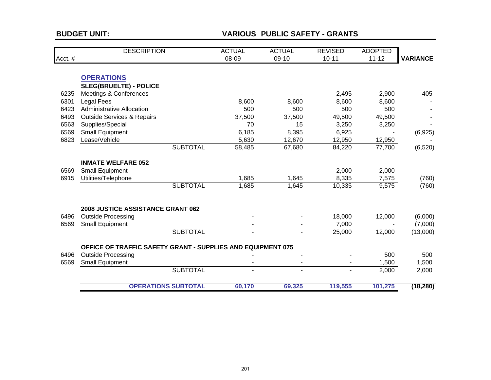#### **VARIOUS PUBLIC SAFETY - GRANTS**

| Acct.# | <b>DESCRIPTION</b>                                          |                 | <b>ACTUAL</b><br>08-09 | <b>ACTUAL</b><br>09-10 | <b>REVISED</b><br>$10 - 11$ | <b>ADOPTED</b><br>$11 - 12$ | <b>VARIANCE</b> |
|--------|-------------------------------------------------------------|-----------------|------------------------|------------------------|-----------------------------|-----------------------------|-----------------|
|        |                                                             |                 |                        |                        |                             |                             |                 |
|        |                                                             |                 |                        |                        |                             |                             |                 |
|        | <b>OPERATIONS</b>                                           |                 |                        |                        |                             |                             |                 |
|        | <b>SLEG(BRUELTE) - POLICE</b>                               |                 |                        |                        |                             |                             |                 |
| 6235   | Meetings & Conferences                                      |                 |                        |                        | 2,495                       | 2,900                       | 405             |
| 6301   | <b>Legal Fees</b>                                           |                 | 8,600                  | 8,600                  | 8,600                       | 8,600                       |                 |
| 6423   | <b>Administrative Allocation</b>                            |                 | 500                    | 500                    | 500                         | 500                         |                 |
| 6493   | <b>Outside Services &amp; Repairs</b>                       |                 | 37,500                 | 37,500                 | 49,500                      | 49,500                      |                 |
| 6563   | Supplies/Special                                            |                 | 70                     | 15                     | 3,250                       | 3,250                       |                 |
| 6569   | <b>Small Equipment</b>                                      |                 | 6,185                  | 8,395                  | 6,925                       |                             | (6,925)         |
| 6823   | Lease/Vehicle                                               |                 | 5,630                  | 12,670                 | 12,950                      | 12,950                      |                 |
|        |                                                             | <b>SUBTOTAL</b> | 58,485                 | 67,680                 | 84,220                      | 77,700                      | (6,520)         |
|        | <b>INMATE WELFARE 052</b>                                   |                 |                        |                        |                             |                             |                 |
| 6569   | <b>Small Equipment</b>                                      |                 |                        |                        | 2,000                       | 2,000                       |                 |
| 6915   | Utilities/Telephone                                         |                 | 1,685                  | 1,645                  | 8,335                       | 7,575                       | (760)           |
|        |                                                             | <b>SUBTOTAL</b> | 1,685                  | 1,645                  | 10,335                      | 9,575                       | (760)           |
|        |                                                             |                 |                        |                        |                             |                             |                 |
|        | 2008 JUSTICE ASSISTANCE GRANT 062                           |                 |                        |                        |                             |                             |                 |
| 6496   | <b>Outside Processing</b>                                   |                 |                        |                        | 18,000                      | 12,000                      | (6,000)         |
| 6569   | Small Equipment                                             |                 |                        |                        | 7,000                       |                             | (7,000)         |
|        |                                                             | <b>SUBTOTAL</b> |                        |                        | 25,000                      | 12,000                      | (13,000)        |
|        |                                                             |                 |                        |                        |                             |                             |                 |
|        | OFFICE OF TRAFFIC SAFETY GRANT - SUPPLIES AND EQUIPMENT 075 |                 |                        |                        |                             |                             |                 |
| 6496   | <b>Outside Processing</b>                                   |                 |                        |                        |                             | 500                         | 500             |
| 6569   | Small Equipment                                             |                 | ٠                      | $\blacksquare$         | $\blacksquare$              | 1,500                       | 1,500           |
|        |                                                             | <b>SUBTOTAL</b> |                        | ÷.                     | ÷.                          | 2,000                       | 2,000           |
|        | <b>OPERATIONS SUBTOTAL</b>                                  |                 | 60,170                 | 69,325                 | 119,555                     | 101,275                     | (18, 280)       |